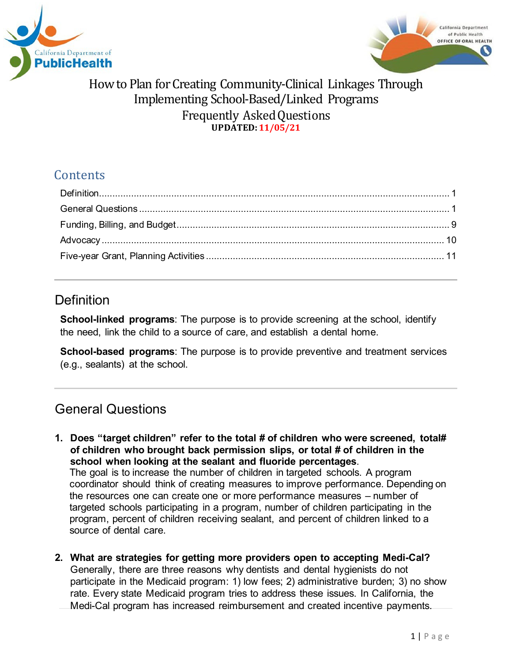



# **Contents**

### <span id="page-0-0"></span>**Definition**

**School-linked programs**: The purpose is to provide screening at the school, identify the need, link the child to a source of care, and establish a dental home.

**School-based programs**: The purpose is to provide preventive and treatment services (e.g., sealants) at the school.

# <span id="page-0-1"></span>General Questions

- **1. Does "target children" refer to the total # of children who were screened, total# of children who brought back permission slips, or total # of children in the school when looking at the sealant and fluoride percentages**. The goal is to increase the number of children in targeted schools. A program coordinator should think of creating measures to improve performance. Depending on the resources one can create one or more performance measures – number of targeted schools participating in a program, number of children participating in the program, percent of children receiving sealant, and percent of children linked to a source of dental care.
- **2. What are strategies for getting more providers open to accepting Medi-Cal?** Generally, there are three reasons why dentists and dental hygienists do not participate in the Medicaid program: 1) low fees; 2) administrative burden; 3) no show rate. Every state Medicaid program tries to address these issues. In California, the Medi-Cal program has increased reimbursement and created incentive payments.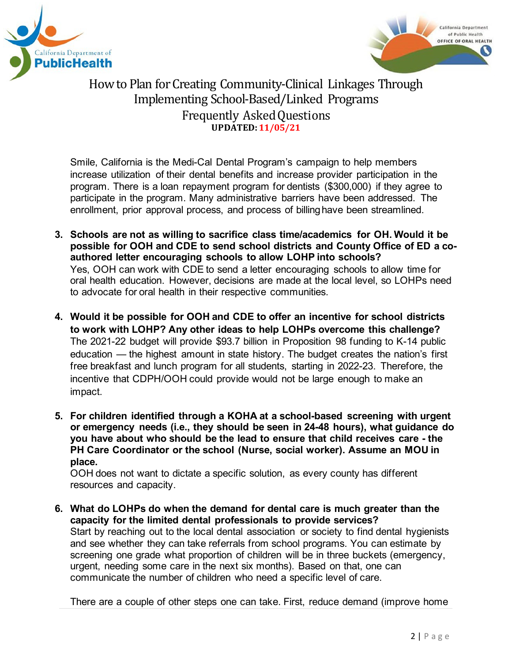



Smile, California is the Medi-Cal Dental Program's campaign to help members increase utilization of their dental benefits and increase provider participation in the program. There is a loan repayment program for dentists (\$300,000) if they agree to participate in the program. Many administrative barriers have been addressed. The enrollment, prior approval process, and process of billinghave been streamlined.

- **3. Schools are not as willing to sacrifice class time/academics for OH. Would it be possible for OOH and CDE to send school districts and County Office of ED a coauthored letter encouraging schools to allow LOHP into schools?** Yes, OOH can work with CDE to send a letter encouraging schools to allow time for oral health education. However, decisions are made at the local level, so LOHPs need to advocate for oral health in their respective communities.
- **4. Would it be possible for OOH and CDE to offer an incentive for school districts to work with LOHP? Any other ideas to help LOHPs overcome this challenge?** The 2021-22 budget will provide \$93.7 billion in Proposition 98 funding to K-14 public education — the highest amount in state history. The budget creates the nation's first free breakfast and lunch program for all students, starting in 2022-23. Therefore, the incentive that CDPH/OOH could provide would not be large enough to make an impact.
- **5. For children identified through a KOHA at a school-based screening with urgent or emergency needs (i.e., they should be seen in 24-48 hours), what guidance do you have about who should be the lead to ensure that child receives care - the PH Care Coordinator or the school (Nurse, social worker). Assume an MOU in place.**

OOH does not want to dictate a specific solution, as every county has different resources and capacity.

**6. What do LOHPs do when the demand for dental care is much greater than the capacity for the limited dental professionals to provide services?** Start by reaching out to the local dental association or society to find dental hygienists and see whether they can take referrals from school programs. You can estimate by screening one grade what proportion of children will be in three buckets (emergency, urgent, needing some care in the next six months). Based on that, one can communicate the number of children who need a specific level of care.

There are a couple of other steps one can take. First, reduce demand (improve home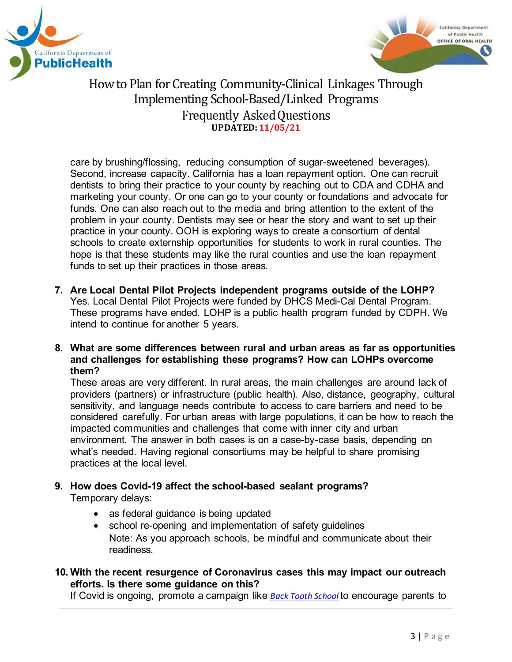



care by brushing/flossing, reducing consumption of sugar-sweetened beverages). Second, increase capacity. California has a loan repayment option. One can recruit dentists to bring their practice to your county by reaching out to CDA and CDHA and marketing your county. Or one can go to your county or foundations and advocate for funds. One can also reach out to the media and bring attention to the extent of the problem in your county. Dentists may see or hear the story and want to set up their practice in your county. OOH is exploring ways to create a consortium of dental schools to create externship opportunities for students to work in rural counties. The hope is that these students may like the rural counties and use the loan repayment funds to set up their practices in those areas.

- **7. Are Local Dental Pilot Projects independent programs outside of the LOHP?** Yes. Local Dental Pilot Projects were funded by DHCS Medi-Cal Dental Program. These programs have ended. LOHP is a public health program funded by CDPH. We intend to continue for another 5 years.
- **8. What are some differences between rural and urban areas as far as opportunities and challenges for establishing these programs? How can LOHPs overcome them?**

These areas are very different. In rural areas, the main challenges are around lack of providers (partners) or infrastructure (public health). Also, distance, geography, cultural sensitivity, and language needs contribute to access to care barriers and need to be considered carefully. For urban areas with large populations, it can be how to reach the impacted communities and challenges that come with inner city and urban environment. The answer in both cases is on a case-by-case basis, depending on what's needed. Having regional consortiums may be helpful to share promising practices at the local level.

### **9. How does Covid-19 affect the school-based sealant programs?** Temporary delays:

- as federal guidance is being updated
- school re-opening and implementation of safety guidelines Note: As you approach schools, be mindful and communicate about their readiness.

### **10. With the recent resurgence of Coronavirus cases this may impact our outreach efforts. Is there some guidance on this?**

If Covid is ongoing, promote a campaign like *[Back Tooth](https://smilecalifornia.org/school-readiness/) School* to encourage parents to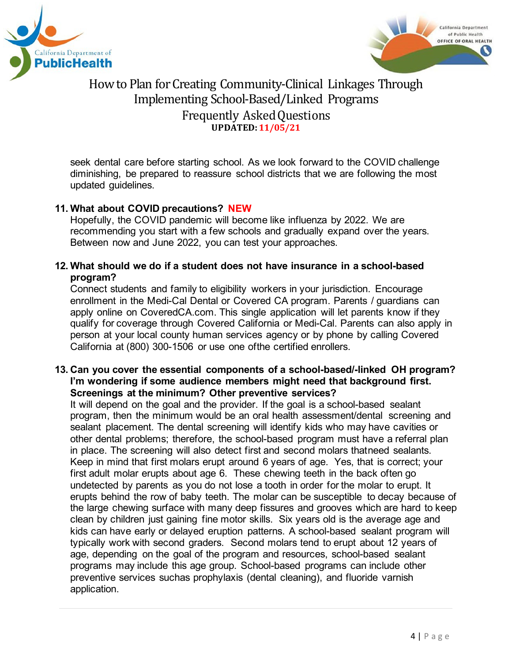



seek dental care before starting school. As we look forward to the COVID challenge diminishing, be prepared to reassure school districts that we are following the most updated guidelines.

### **11. What about COVID precautions? NEW**

Hopefully, the COVID pandemic will become like influenza by 2022. We are recommending you start with a few schools and gradually expand over the years. Between now and June 2022, you can test your approaches.

### **12. What should we do if a student does not have insurance in a school-based program?**

Connect students and family to eligibility workers in your jurisdiction. Encourage enrollment in the Medi-Cal Dental or Covered CA program. Parents / guardians can apply online on CoveredCA.com. This single application will let parents know if they qualify for coverage through Covered California or Medi-Cal. Parents can also apply in person at your local county human services agency or by phone by calling Covered California at (800) 300-1506 or use one ofthe certified enrollers.

### **13. Can you cover the essential components of a school-based/-linked OH program? I'm wondering if some audience members might need that background first. Screenings at the minimum? Other preventive services?**

It will depend on the goal and the provider. If the goal is a school-based sealant program, then the minimum would be an oral health assessment/dental screening and sealant placement. The dental screening will identify kids who may have cavities or other dental problems; therefore, the school-based program must have a referral plan in place. The screening will also detect first and second molars thatneed sealants. Keep in mind that first molars erupt around 6 years of age. Yes, that is correct; your first adult molar erupts about age 6. These chewing teeth in the back often go undetected by parents as you do not lose a tooth in order for the molar to erupt. It erupts behind the row of baby teeth. The molar can be susceptible to decay because of the large chewing surface with many deep fissures and grooves which are hard to keep clean by children just gaining fine motor skills. Six years old is the average age and kids can have early or delayed eruption patterns. A school-based sealant program will typically work with second graders. Second molars tend to erupt about 12 years of age, depending on the goal of the program and resources, school-based sealant programs may include this age group. School-based programs can include other preventive services suchas prophylaxis (dental cleaning), and fluoride varnish application.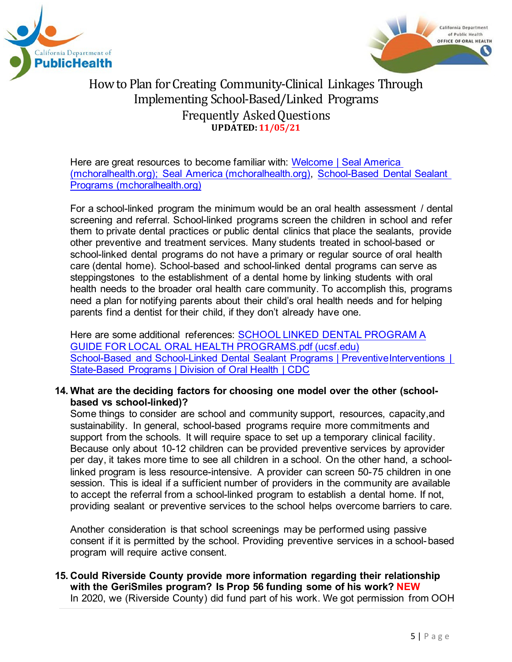



Here are great resources to become familiar with: [Welcome](https://www.mchoralhealth.org/seal/) | Seal Ame[rica](https://www.mchoralhealth.org/seal/) [\(mchoralhealth.org\); Seal America \(mchoralhealth.org\),](https://www.mchoralhealth.org/seal/) [School-Based Dental Sealant](https://www.mchoralhealth.org/Dental-Sealant/)  [Programs](https://www.mchoralhealth.org/Dental-Sealant/) [\(mchoralhealth.org\)](https://www.mchoralhealth.org/Dental-Sealant/)

For a school-linked program the minimum would be an oral health assessment / dental screening and referral. School-linked programs screen the children in school and refer them to private dental practices or public dental clinics that place the sealants, provide other preventive and treatment services. Many students treated in school-based or school-linked dental programs do not have a primary or regular source of oral health care (dental home). School-based and school-linked dental programs can serve as steppingstones to the establishment of a dental home by linking students with oral health needs to the broader oral health care community. To accomplish this, programs need a plan for notifying parents about their child's oral health needs and for helping parents find a dentist for their child, if they don't already have one.

Here are some additional references: [SCHOOL LINKED DENTAL PROGRAM A](https://oralhealthsupport.ucsf.edu/sites/g/files/tkssra861/f/wysiwyg/SCHOOL%20LINKED%20DENTAL%20PROGRAM%20A%20GUIDE%20FOR%20LOCAL%20ORAL%20HEALTH%20PROGRAMS.pdf) GUIDE FOR LOCAL ORAL HEALTH [PROGRAMS.pdf](https://oralhealthsupport.ucsf.edu/sites/g/files/tkssra861/f/wysiwyg/SCHOOL%20LINKED%20DENTAL%20PROGRAM%20A%20GUIDE%20FOR%20LOCAL%20ORAL%20HEALTH%20PROGRAMS.pdf) (ucsf.edu) [School-Based and School-Linked Dental Sealant Programs](https://www.cdc.gov/oralhealth/funded_programs/preventive-interventions/school.htm) | Preventiv[eInterventions](https://www.cdc.gov/oralhealth/funded_programs/preventive-interventions/school.htm) | [State-Based](https://www.cdc.gov/oralhealth/funded_programs/preventive-interventions/school.htm) Programs | Division of Oral Health | CDC

#### **14. What are the deciding factors for choosing one model over the other (schoolbased vs school-linked)?**

Some things to consider are school and community support, resources, capacity,and sustainability. In general, school-based programs require more commitments and support from the schools. It will require space to set up a temporary clinical facility. Because only about 10-12 children can be provided preventive services by aprovider per day, it takes more time to see all children in a school. On the other hand, a schoollinked program is less resource-intensive. A provider can screen 50-75 children in one session. This is ideal if a sufficient number of providers in the community are available to accept the referral from a school-linked program to establish a dental home. If not, providing sealant or preventive services to the school helps overcome barriers to care.

Another consideration is that school screenings may be performed using passive consent if it is permitted by the school. Providing preventive services in a school-based program will require active consent.

**15. Could Riverside County provide more information regarding their relationship with the GeriSmiles program? Is Prop 56 funding some of his work? NEW** In 2020, we (Riverside County) did fund part of his work. We got permission from OOH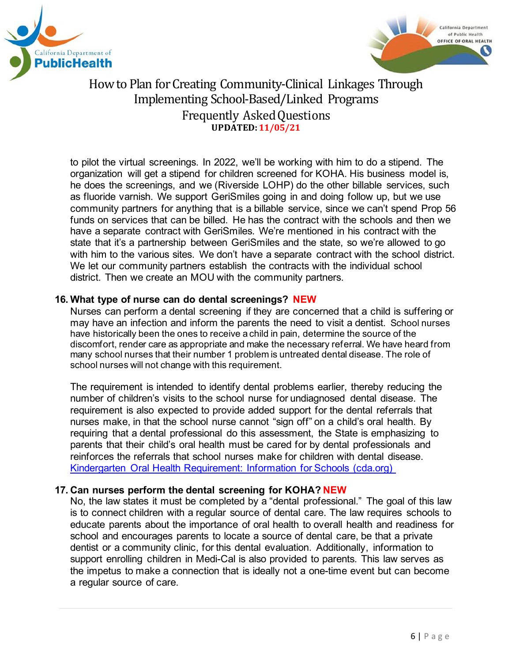



to pilot the virtual screenings. In 2022, we'll be working with him to do a stipend. The organization will get a stipend for children screened for KOHA. His business model is, he does the screenings, and we (Riverside LOHP) do the other billable services, such as fluoride varnish. We support GeriSmiles going in and doing follow up, but we use community partners for anything that is a billable service, since we can't spend Prop 56 funds on services that can be billed. He has the contract with the schools and then we have a separate contract with GeriSmiles. We're mentioned in his contract with the state that it's a partnership between GeriSmiles and the state, so we're allowed to go with him to the various sites. We don't have a separate contract with the school district. We let our community partners establish the contracts with the individual school district. Then we create an MOU with the community partners.

### **16. What type of nurse can do dental screenings? NEW**

Nurses can perform a dental screening if they are concerned that a child is suffering or may have an infection and inform the parents the need to visit a dentist. School nurses have historically been the ones to receive a child in pain, determine the source of the discomfort, render care as appropriate and make the necessary referral. We have heard from many school nurses that their number 1 problem is untreated dental disease. The role of school nurses will not change with this requirement.

The requirement is intended to identify dental problems earlier, thereby reducing the number of children's visits to the school nurse for undiagnosed dental disease. The requirement is also expected to provide added support for the dental referrals that nurses make, in that the school nurse cannot "sign off" on a child's oral health. By requiring that a dental professional do this assessment, the State is emphasizing to parents that their child's oral health must be cared for by dental professionals and reinforces the referrals that school nurses make for children with dental disease. [Kindergarten Oral Health Requirement: Information for Schools \(cda.org\)](https://www.cda.org/Home/Public/Kindergarten-Oral-Health-Requirement/Schools)

#### **17. Can nurses perform the dental screening for KOHA? NEW**

No, the law states it must be completed by a "dental professional." The goal of this law is to connect children with a regular source of dental care. The law requires schools to educate parents about the importance of oral health to overall health and readiness for school and encourages parents to locate a source of dental care, be that a private dentist or a community clinic, for this dental evaluation. Additionally, information to support enrolling children in Medi-Cal is also provided to parents. This law serves as the impetus to make a connection that is ideally not a one-time event but can become a regular source of care.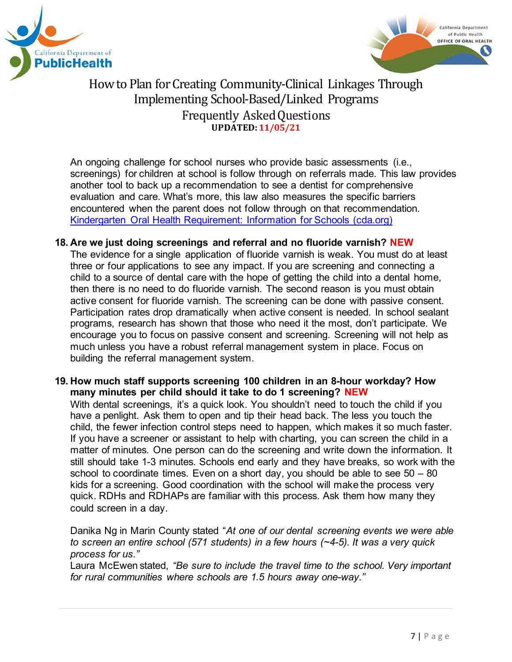



An ongoing challenge for school nurses who provide basic assessments (i.e., screenings) for children at school is follow through on referrals made. This law provides another tool to back up a recommendation to see a dentist for comprehensive evaluation and care. What's more, this law also measures the specific barriers encountered when the parent does not follow through on that recommendation. [Kindergarten Oral Health Requirement: Information for Schools \(cda.org\)](https://www.cda.org/Home/Public/Kindergarten-Oral-Health-Requirement/Schools)

#### **18. Are we just doing screenings and referral and no fluoride varnish? NEW**

The evidence for a single application of fluoride varnish is weak. You must do at least three or four applications to see any impact. If you are screening and connecting a child to a source of dental care with the hope of getting the child into a dental home, then there is no need to do fluoride varnish. The second reason is you must obtain active consent for fluoride varnish. The screening can be done with passive consent. Participation rates drop dramatically when active consent is needed. In school sealant programs, research has shown that those who need it the most, don't participate. We encourage you to focus on passive consent and screening. Screening will not help as much unless you have a robust referral management system in place. Focus on building the referral management system.

#### **19. How much staff supports screening 100 children in an 8-hour workday? How many minutes per child should it take to do 1 screening? NEW**

With dental screenings, it's a quick look. You shouldn't need to touch the child if you have a penlight. Ask them to open and tip their head back. The less you touch the child, the fewer infection control steps need to happen, which makes it so much faster. If you have a screener or assistant to help with charting, you can screen the child in a matter of minutes. One person can do the screening and write down the information. It still should take 1-3 minutes. Schools end early and they have breaks, so work with the school to coordinate times. Even on a short day, you should be able to see  $50 - 80$ kids for a screening. Good coordination with the school will make the process very quick. RDHs and RDHAPs are familiar with this process. Ask them how many they could screen in a day.

Danika Ng in Marin County stated "*At one of our dental screening events we were able to screen an entire school (571 students) in a few hours (~4-5). It was a very quick process for us."*

Laura McEwen stated, *"Be sure to include the travel time to the school. Very important for rural communities where schools are 1.5 hours away one-way."*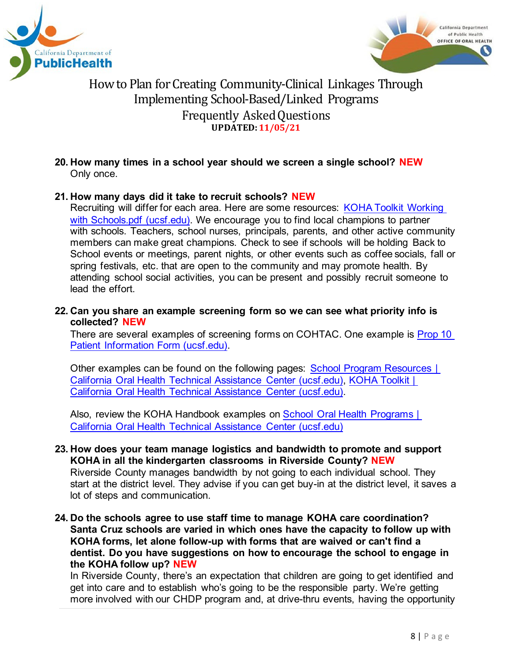



**20. How many times in a school year should we screen a single school? NEW** Only once.

### **21. How many days did it take to recruit schools? NEW**

Recruiting will differ for each area. Here are some resources: [KOHA Toolkit Working](https://oralhealthsupport.ucsf.edu/sites/g/files/tkssra861/f/wysiwyg/oralhealthed/KOHA%20Toolkit%20Working%20with%20Schools.pdf)  [with Schools.pdf \(ucsf.edu\).](https://oralhealthsupport.ucsf.edu/sites/g/files/tkssra861/f/wysiwyg/oralhealthed/KOHA%20Toolkit%20Working%20with%20Schools.pdf) We encourage you to find local champions to partner with schools. Teachers, school nurses, principals, parents, and other active community members can make great champions. Check to see if schools will be holding Back to School events or meetings, parent nights, or other events such as coffee socials, fall or spring festivals, etc. that are open to the community and may promote health. By attending school social activities, you can be present and possibly recruit someone to lead the effort.

#### **22. Can you share an example screening form so we can see what priority info is collected? NEW**

There are several examples of screening forms on COHTAC. One example is **Prop 10** [Patient Information Form \(ucsf.edu\).](https://oralhealthsupport.ucsf.edu/sites/g/files/tkssra861/f/wysiwyg/oralhealthed/2-Dental%20Screening%20Form%20%28ENG-SPAN%29.pdf)

Other examples can be found on the following pages: [School Program Resources |](https://oralhealthsupport.ucsf.edu/school-program-resources)  [California Oral Health Technical Assistance Center \(ucsf.edu\),](https://oralhealthsupport.ucsf.edu/school-program-resources) [KOHA Toolkit |](https://oralhealthsupport.ucsf.edu/our-programs/school-programs/kindergarten-oral-health-assessment/koha-toolkit)  [California Oral Health Technical Assistance Center \(ucsf.edu\).](https://oralhealthsupport.ucsf.edu/our-programs/school-programs/kindergarten-oral-health-assessment/koha-toolkit)

Also, review the KOHA Handbook examples on **School Oral Health Programs** | [California Oral Health Technical Assistance Center \(ucsf.edu\)](https://oralhealthsupport.ucsf.edu/our-programs/school-programs)

- **23. How does your team manage logistics and bandwidth to promote and support KOHA in all the kindergarten classrooms in Riverside County? NEW** Riverside County manages bandwidth by not going to each individual school. They start at the district level. They advise if you can get buy-in at the district level, it saves a lot of steps and communication.
- **24. Do the schools agree to use staff time to manage KOHA care coordination? Santa Cruz schools are varied in which ones have the capacity to follow up with KOHA forms, let alone follow-up with forms that are waived or can't find a dentist. Do you have suggestions on how to encourage the school to engage in the KOHA follow up? NEW**

In Riverside County, there's an expectation that children are going to get identified and get into care and to establish who's going to be the responsible party. We're getting more involved with our CHDP program and, at drive-thru events, having the opportunity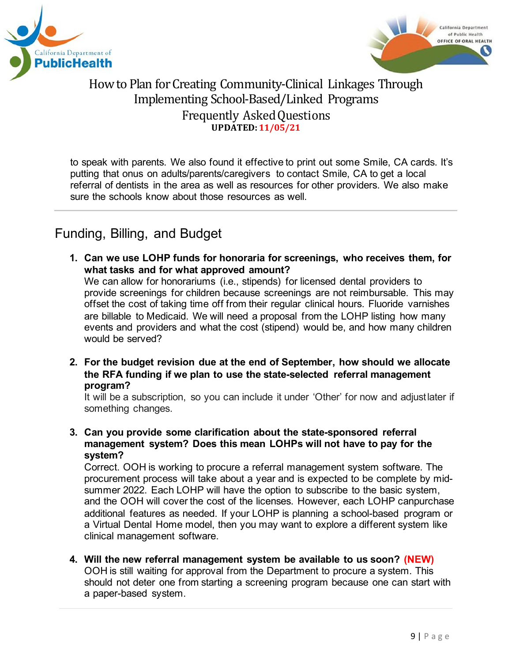



to speak with parents. We also found it effective to print out some Smile, CA cards. It's putting that onus on adults/parents/caregivers to contact Smile, CA to get a local referral of dentists in the area as well as resources for other providers. We also make sure the schools know about those resources as well.

# <span id="page-8-0"></span>Funding, Billing, and Budget

- **1. Can we use LOHP funds for honoraria for screenings, who receives them, for what tasks and for what approved amount?** We can allow for honorariums (i.e., stipends) for licensed dental providers to provide screenings for children because screenings are not reimbursable. This may offset the cost of taking time off from their regular clinical hours. Fluoride varnishes are billable to Medicaid. We will need a proposal from the LOHP listing how many events and providers and what the cost (stipend) would be, and how many children would be served?
- **2. For the budget revision due at the end of September, how should we allocate the RFA funding if we plan to use the state-selected referral management program?**

It will be a subscription, so you can include it under 'Other' for now and adjustlater if something changes.

**3. Can you provide some clarification about the state-sponsored referral management system? Does this mean LOHPs will not have to pay for the system?**

Correct. OOH is working to procure a referral management system software. The procurement process will take about a year and is expected to be complete by midsummer 2022. Each LOHP will have the option to subscribe to the basic system, and the OOH will cover the cost of the licenses. However, each LOHP canpurchase additional features as needed. If your LOHP is planning a school-based program or a Virtual Dental Home model, then you may want to explore a different system like clinical management software.

**4. Will the new referral management system be available to us soon? (NEW)** OOH is still waiting for approval from the Department to procure a system. This should not deter one from starting a screening program because one can start with a paper-based system.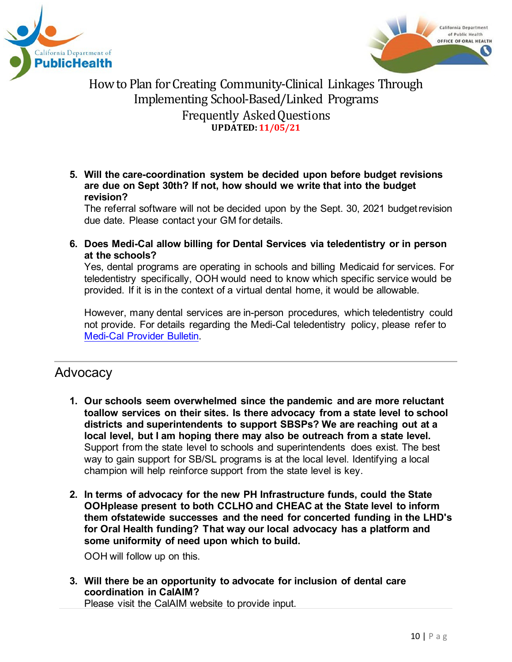



**5. Will the care-coordination system be decided upon before budget revisions are due on Sept 30th? If not, how should we write that into the budget revision?**

The referral software will not be decided upon by the Sept. 30, 2021 budgetrevision due date. Please contact your GM for details.

**6. Does Medi-Cal allow billing for Dental Services via teledentistry or in person at the schools?**

Yes, dental programs are operating in schools and billing Medicaid for services. For teledentistry specifically, OOH would need to know which specific service would be provided. If it is in the context of a virtual dental home, it would be allowable.

However, many dental services are in-person procedures, which teledentistry could not provide. For details regarding the Medi-Cal teledentistry policy, please refer to [Medi-Cal](https://www.dental.dhcs.ca.gov/MCD_documents/providers/COVID-19_teledentistry_provider_FAQs.pdf) Provider [Bulletin.](https://www.dental.dhcs.ca.gov/MCD_documents/providers/COVID-19_teledentistry_provider_FAQs.pdf)

# <span id="page-9-0"></span>Advocacy

- **1. Our schools seem overwhelmed since the pandemic and are more reluctant toallow services on their sites. Is there advocacy from a state level to school districts and superintendents to support SBSPs? We are reaching out at a local level, but I am hoping there may also be outreach from a state level.** Support from the state level to schools and superintendents does exist. The best way to gain support for SB/SL programs is at the local level. Identifying a local champion will help reinforce support from the state level is key.
- **2. In terms of advocacy for the new PH Infrastructure funds, could the State OOHplease present to both CCLHO and CHEAC at the State level to inform them ofstatewide successes and the need for concerted funding in the LHD's for Oral Health funding? That way our local advocacy has a platform and some uniformity of need upon which to build.**

OOH will follow up on this.

**3. Will there be an opportunity to advocate for inclusion of dental care coordination in CalAIM?**

Please visit the CalAIM website to provide input.